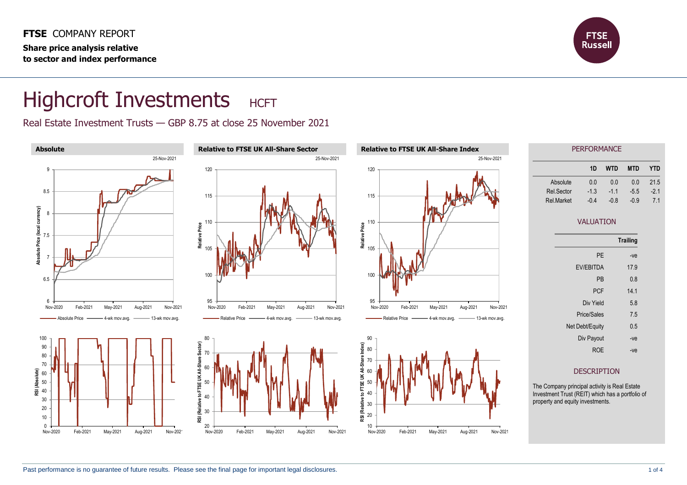**FTSE** COMPANY REPORT **Share price analysis relative to sector and index performance**



## Highcroft Investments HCFT

Real Estate Investment Trusts — GBP 8.75 at close 25 November 2021

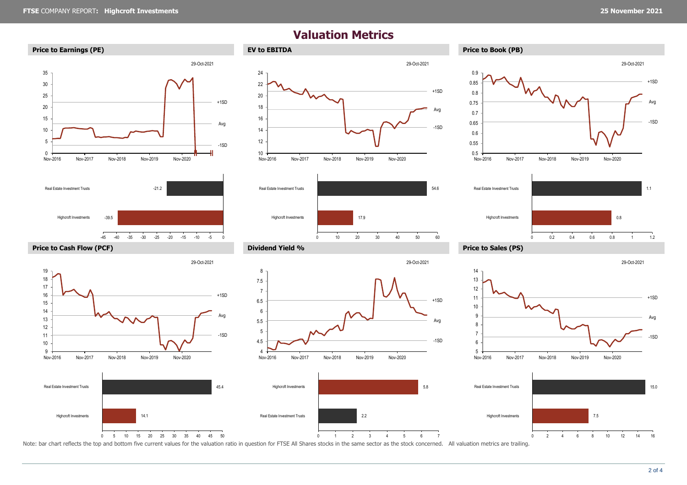29-Oct-2021

## **Valuation Metrics**







29-Oct-2021















8

Note: bar chart reflects the top and bottom five current values for the valuation ratio in question for FTSE All Shares stocks in the same sector as the stock concerned. All valuation metrics are trailing.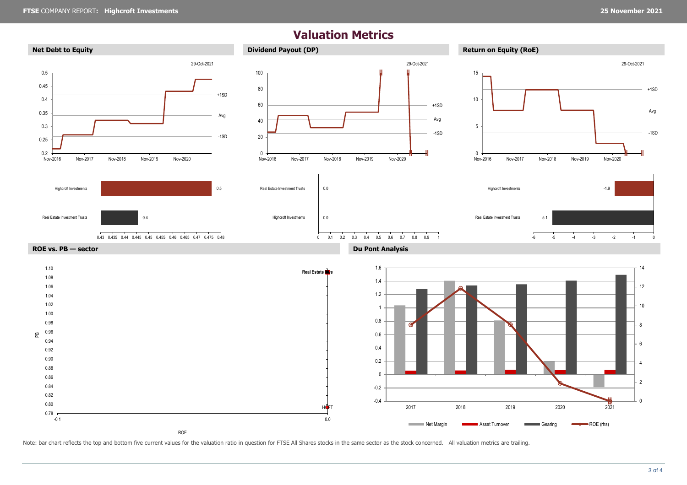## **Valuation Metrics**



Note: bar chart reflects the top and bottom five current values for the valuation ratio in question for FTSE All Shares stocks in the same sector as the stock concerned. All valuation metrics are trailing.